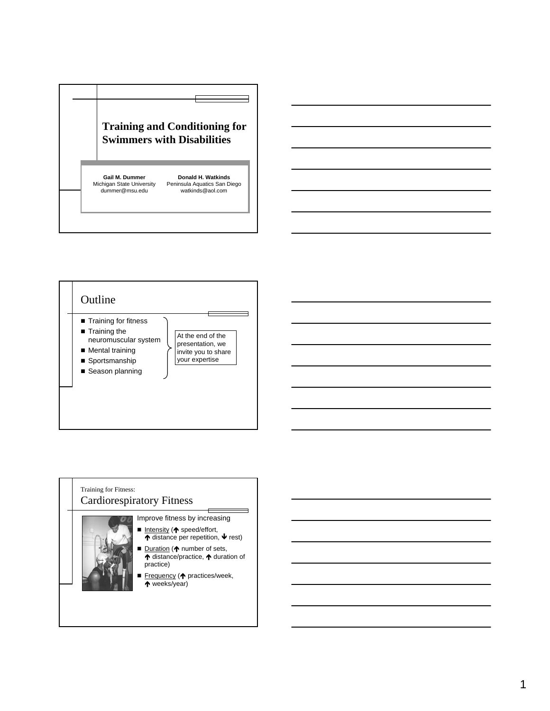







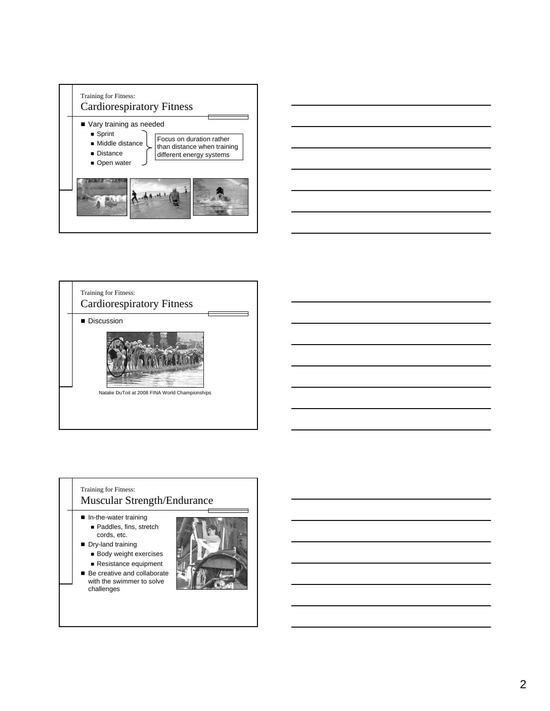







- Paddles, fins, stretch cords, etc.
- Dry-land training **Body weight exercises** 
	- Resistance equipment
- Be creative and collaborate with the swimmer to solve challenges

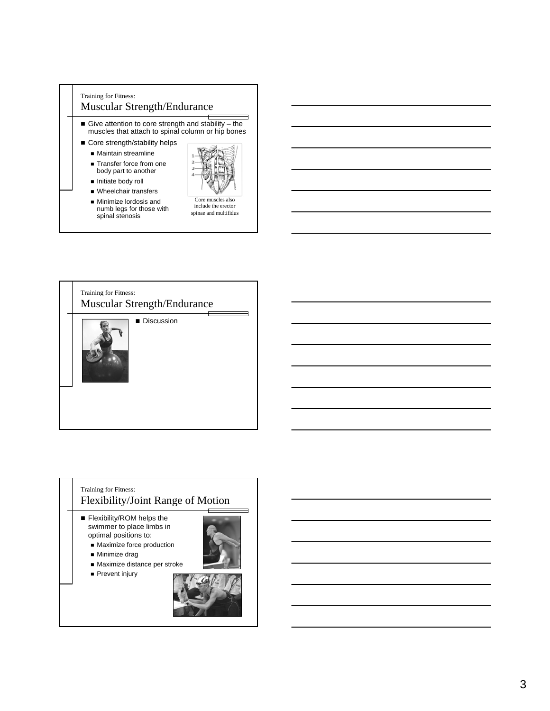





- **Flexibility/ROM helps the** swimmer to place limbs in optimal positions to:
	- **Maximize force production**
	- **Minimize drag**
	- Maximize distance per stroke
	- **Prevent injury**

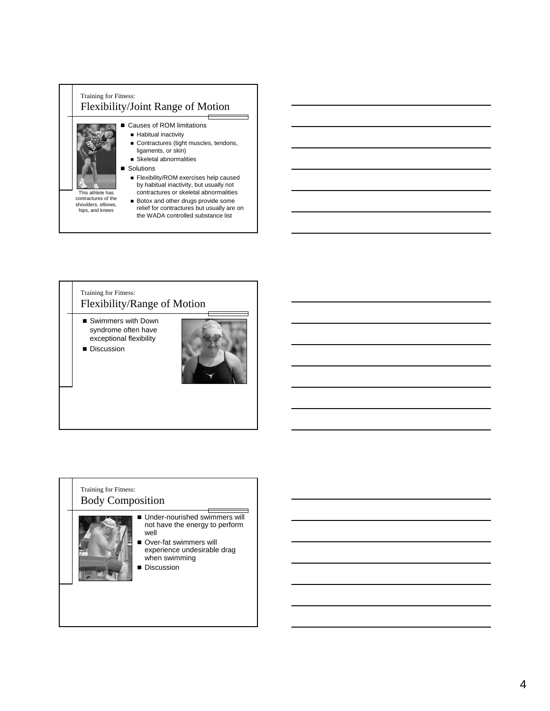

# Training for Fitness: Flexibility/Range of Motion ■ Swimmers with Down syndrome often have exceptional flexibility **Discussion**

#### Training for Fitness: Body Composition



- Ξ ■ Under-nourished swimmers will not have the energy to perform well
- Over-fat swimmers will experience undesirable drag when swimming
- Discussion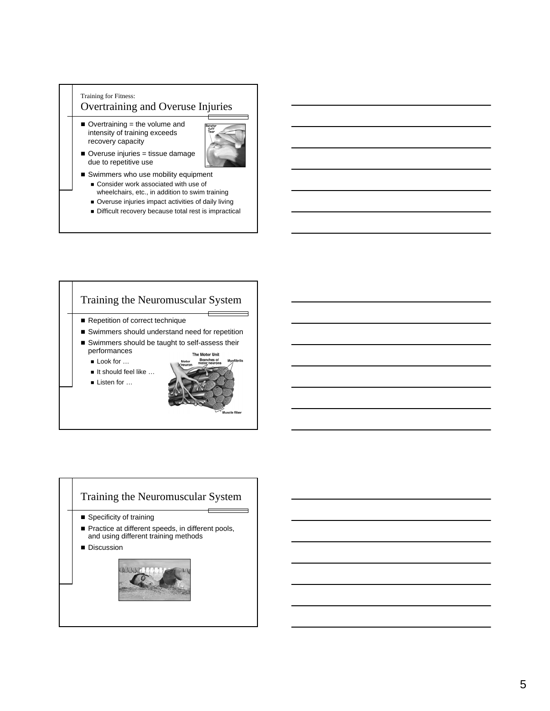#### Training for Fitness: Overtraining and Overuse Injuries

 $\blacksquare$  Overtraining = the volume and intensity of training exceeds recovery capacity



- Overuse injuries = tissue damage due to repetitive use
- Swimmers who use mobility equipment ■ Consider work associated with use of wheelchairs, etc., in addition to swim training
	- Overuse injuries impact activities of daily living
	- Difficult recovery because total rest is impractical

### Training the Neuromuscular System Repetition of correct technique ■ Swimmers should understand need for repetition ■ Swimmers should be taught to self-assess their performances tor Uni ■ Look for … ■ It should feel like ... ■ Listen for …

## Training the Neuromuscular System

 $\overline{\phantom{0}}$ 

- **Specificity of training**
- Practice at different speeds, in different pools, and using different training methods
- **Discussion**

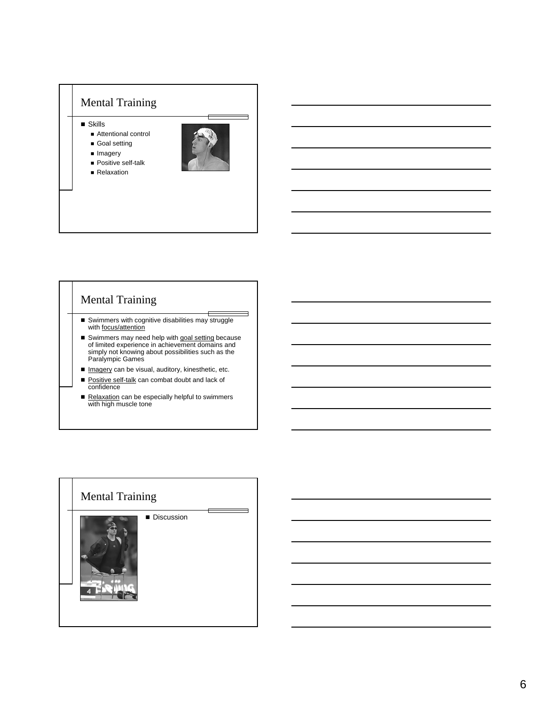

# Mental Training

Swimmers with cognitive disabilities may struggle with **focus/attention** 

Ξ

- Swimmers may need help with <u>goal setting</u> because<br>of limited experience in achievement domains and<br>simply not knowing about possibilities such as the<br>Paralympic Games
- Imagery can be visual, auditory, kinesthetic, etc.
- Positive self-talk can combat doubt and lack of confidence
- Relaxation can be especially helpful to swimmers with high muscle tone

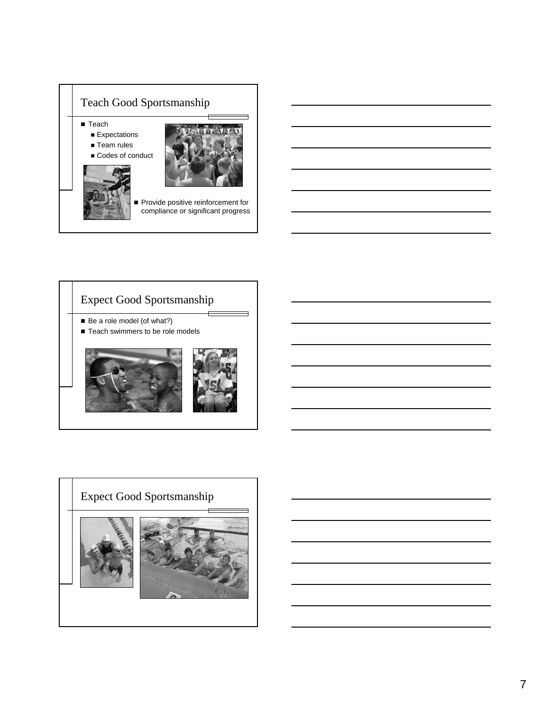



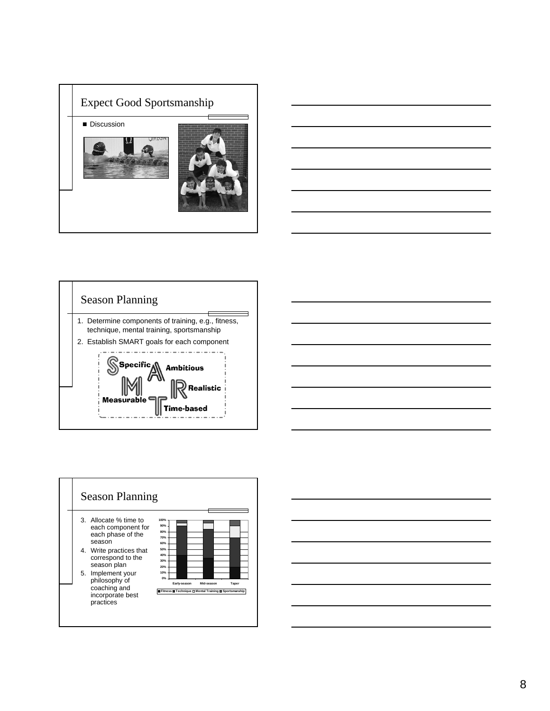







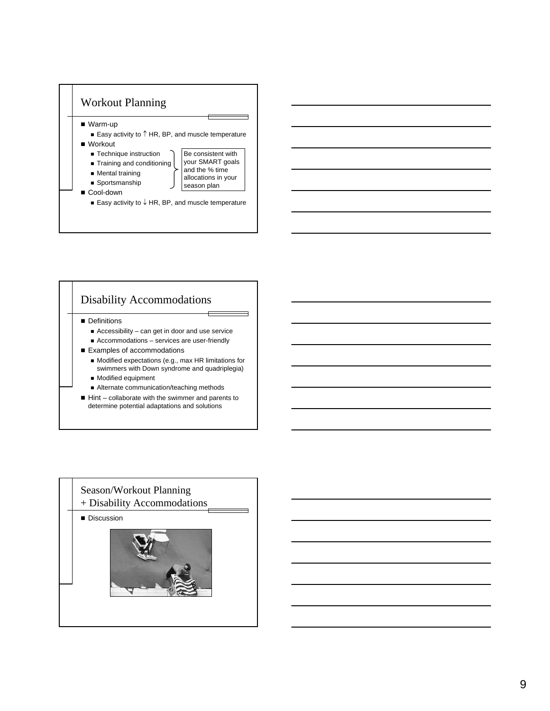

# Disability Accommodations

- **Definitions** 
	- Accessibility can get in door and use service ■ Accommodations – services are user-friendly
- Examples of accommodations
	- Modified expectations (e.g., max HR limitations for swimmers with Down syndrome and quadriplegia) **Modified equipment**
	- Alternate communication/teaching methods
- $\blacksquare$  Hint collaborate with the swimmer and parents to determine potential adaptations and solutions